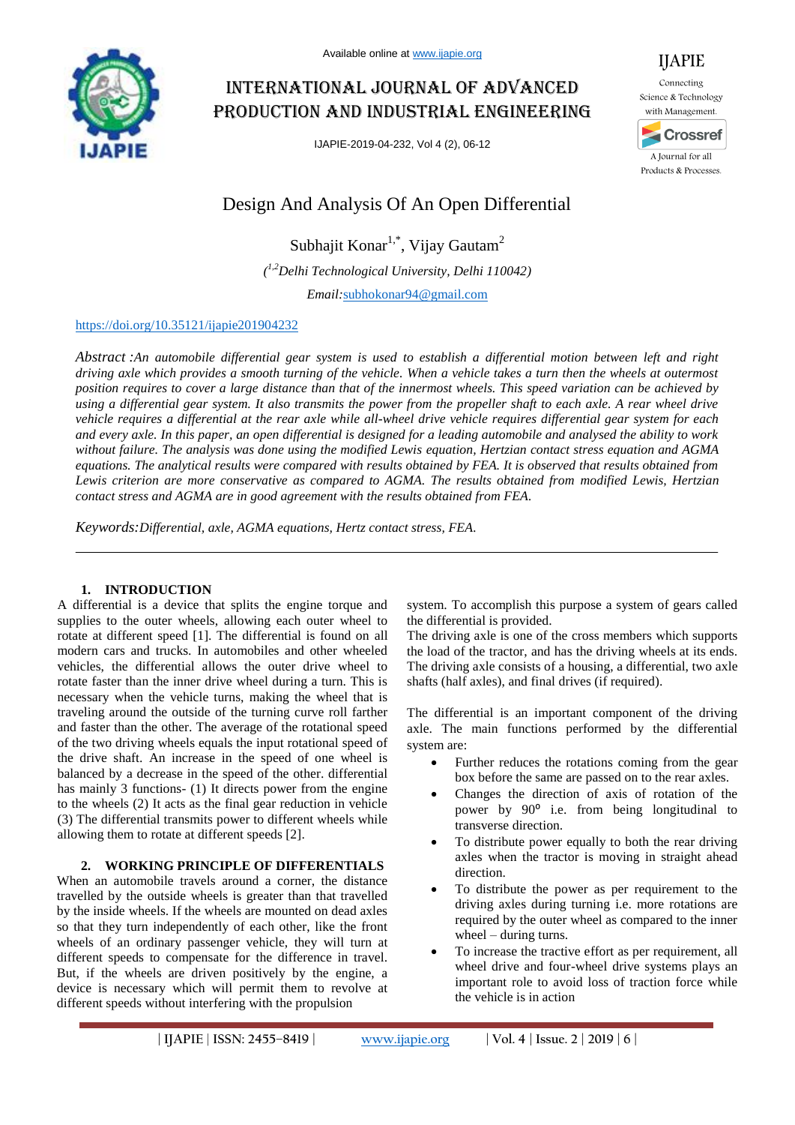

# International journal of advanced production and industrial engineering

IJAPIE-2019-04-232, Vol 4 (2), 06-12



IJAPIE

# Design And Analysis Of An Open Differential

Subhajit Konar<sup>1,\*</sup>, Vijay Gautam<sup>2</sup> *( 1,2Delhi Technological University, Delhi 110042)*

*Email:*subhokonar94@gmail.com

## https://doi.org/10.35121/ijapie201904232

*Abstract :An automobile differential gear system is used to establish a differential motion between left and right driving axle which provides a smooth turning of the vehicle. When a vehicle takes a turn then the wheels at outermost position requires to cover a large distance than that of the innermost wheels. This speed variation can be achieved by using a differential gear system. It also transmits the power from the propeller shaft to each axle. A rear wheel drive vehicle requires a differential at the rear axle while all-wheel drive vehicle requires differential gear system for each and every axle. In this paper, an open differential is designed for a leading automobile and analysed the ability to work without failure. The analysis was done using the modified Lewis equation, Hertzian contact stress equation and AGMA equations. The analytical results were compared with results obtained by FEA. It is observed that results obtained from Lewis criterion are more conservative as compared to AGMA. The results obtained from modified Lewis, Hertzian contact stress and AGMA are in good agreement with the results obtained from FEA.*

*Keywords:Differential, axle, AGMA equations, Hertz contact stress, FEA.*

## **1. INTRODUCTION**

A differential is a device that splits the engine torque and supplies to the outer wheels, allowing each outer wheel to rotate at different speed [1]. The differential is found on all modern cars and trucks. In automobiles and other wheeled vehicles, the differential allows the outer drive wheel to rotate faster than the inner drive wheel during a turn. This is necessary when the vehicle turns, making the wheel that is traveling around the outside of the turning curve roll farther and faster than the other. The average of the rotational speed of the two driving wheels equals the input rotational speed of the drive shaft. An increase in the speed of one wheel is balanced by a decrease in the speed of the other. differential has mainly 3 functions- (1) It directs power from the engine to the wheels (2) It acts as the final gear reduction in vehicle (3) The differential transmits power to different wheels while allowing them to rotate at different speeds [2].

## **2. WORKING PRINCIPLE OF DIFFERENTIALS**

When an automobile travels around a corner, the distance travelled by the outside wheels is greater than that travelled by the inside wheels. If the wheels are mounted on dead axles so that they turn independently of each other, like the front wheels of an ordinary passenger vehicle, they will turn at different speeds to compensate for the difference in travel. But, if the wheels are driven positively by the engine, a device is necessary which will permit them to revolve at different speeds without interfering with the propulsion

system. To accomplish this purpose a system of gears called the differential is provided.

The driving axle is one of the cross members which supports the load of the tractor, and has the driving wheels at its ends. The driving axle consists of a housing, a differential, two axle shafts (half axles), and final drives (if required).

The differential is an important component of the driving axle. The main functions performed by the differential system are:

- Further reduces the rotations coming from the gear box before the same are passed on to the rear axles.
- Changes the direction of axis of rotation of the power by 90° i.e. from being longitudinal to transverse direction.
- To distribute power equally to both the rear driving axles when the tractor is moving in straight ahead direction.
- To distribute the power as per requirement to the driving axles during turning i.e. more rotations are required by the outer wheel as compared to the inner wheel – during turns.
- To increase the tractive effort as per requirement, all wheel drive and four-wheel drive systems plays an important role to avoid loss of traction force while the vehicle is in action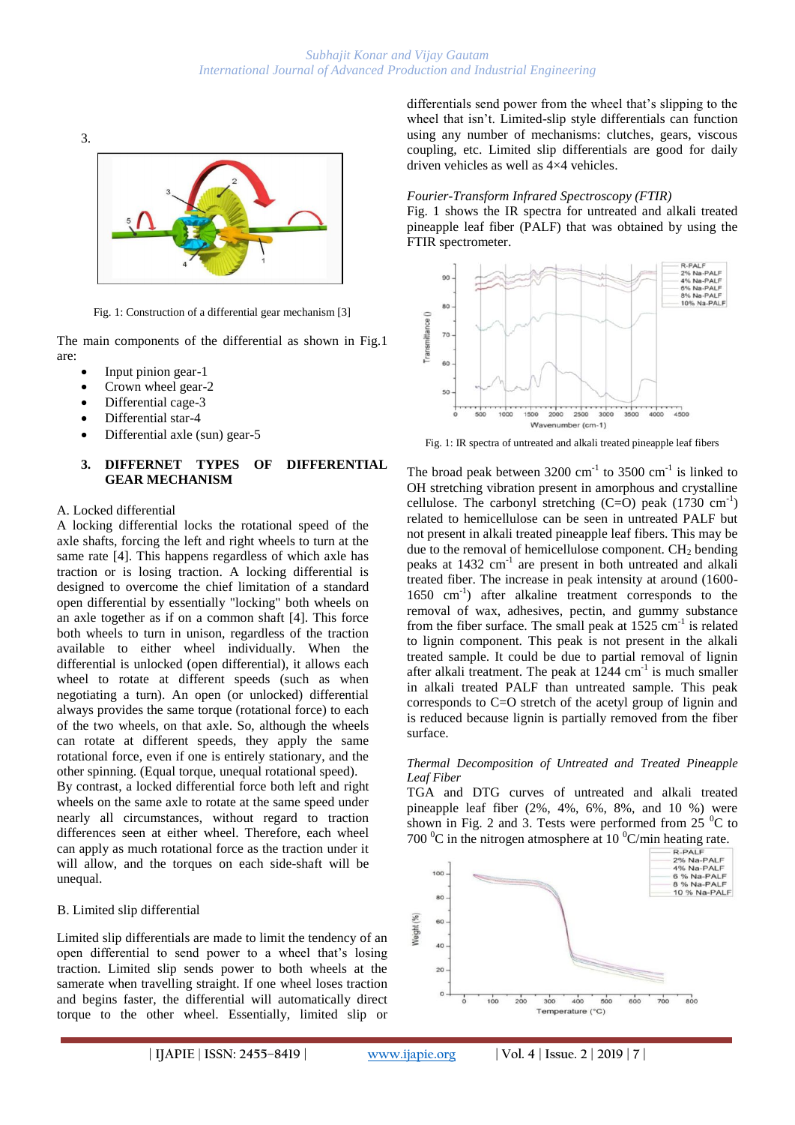

Fig. 1: Construction of a differential gear mechanism [3]

The main components of the differential as shown in Fig.1 are:

- Input pinion gear-1
- Crown wheel gear-2
- Differential cage-3
- Differential star-4
- Differential axle (sun) gear-5

## **3. DIFFERNET TYPES OF DIFFERENTIAL GEAR MECHANISM**

#### A. Locked differential

A locking differential locks the rotational speed of the axle shafts, forcing the left and right wheels to turn at the same rate [4]. This happens regardless of which axle has traction or is losing traction. A locking differential is designed to overcome the chief limitation of a standard open differential by essentially "locking" both wheels on an axle together as if on a common shaft [4]. This force both wheels to turn in unison, regardless of the traction available to either wheel individually. When the differential is unlocked (open differential), it allows each wheel to rotate at different speeds (such as when negotiating a turn). An open (or unlocked) differential always provides the same torque (rotational force) to each of the two wheels, on that axle. So, although the wheels can rotate at different speeds, they apply the same rotational force, even if one is entirely stationary, and the other spinning. (Equal torque, unequal rotational speed).

By contrast, a locked differential force both left and right wheels on the same axle to rotate at the same speed under nearly all circumstances, without regard to traction differences seen at either wheel. Therefore, each wheel can apply as much rotational force as the traction under it will allow, and the torques on each side-shaft will be unequal.

## B. Limited slip differential

Limited slip differentials are made to limit the tendency of an open differential to send power to a wheel that's losing traction. Limited slip sends power to both wheels at the samerate when travelling straight. If one wheel loses traction and begins faster, the differential will automatically direct torque to the other wheel. Essentially, limited slip or differentials send power from the wheel that's slipping to the wheel that isn't. Limited-slip style differentials can function using any number of mechanisms: clutches, gears, viscous coupling, etc. Limited slip differentials are good for daily driven vehicles as well as 4×4 vehicles.

## *Fourier-Transform Infrared Spectroscopy (FTIR)*

Fig. 1 shows the IR spectra for untreated and alkali treated pineapple leaf fiber (PALF) that was obtained by using the FTIR spectrometer.



Fig. 1: IR spectra of untreated and alkali treated pineapple leaf fibers

The broad peak between  $3200 \text{ cm}^{-1}$  to  $3500 \text{ cm}^{-1}$  is linked to OH stretching vibration present in amorphous and crystalline cellulose. The carbonyl stretching  $(C=O)$  peak  $(1730 \text{ cm}^{-1})$ related to hemicellulose can be seen in untreated PALF but not present in alkali treated pineapple leaf fibers. This may be due to the removal of hemicellulose component.  $CH<sub>2</sub>$  bending peaks at 1432 cm<sup>-1</sup> are present in both untreated and alkali treated fiber. The increase in peak intensity at around (1600- 1650 cm-1 ) after alkaline treatment corresponds to the removal of wax, adhesives, pectin, and gummy substance from the fiber surface. The small peak at  $1525 \text{ cm}^{-1}$  is related to lignin component. This peak is not present in the alkali treated sample. It could be due to partial removal of lignin after alkali treatment. The peak at  $1244 \text{ cm}^{-1}$  is much smaller in alkali treated PALF than untreated sample. This peak corresponds to C=O stretch of the acetyl group of lignin and is reduced because lignin is partially removed from the fiber surface.

#### *Thermal Decomposition of Untreated and Treated Pineapple Leaf Fiber*

TGA and DTG curves of untreated and alkali treated pineapple leaf fiber (2%, 4%, 6%, 8%, and 10 %) were shown in Fig. 2 and 3. Tests were performed from  $25\text{ °C}$  to

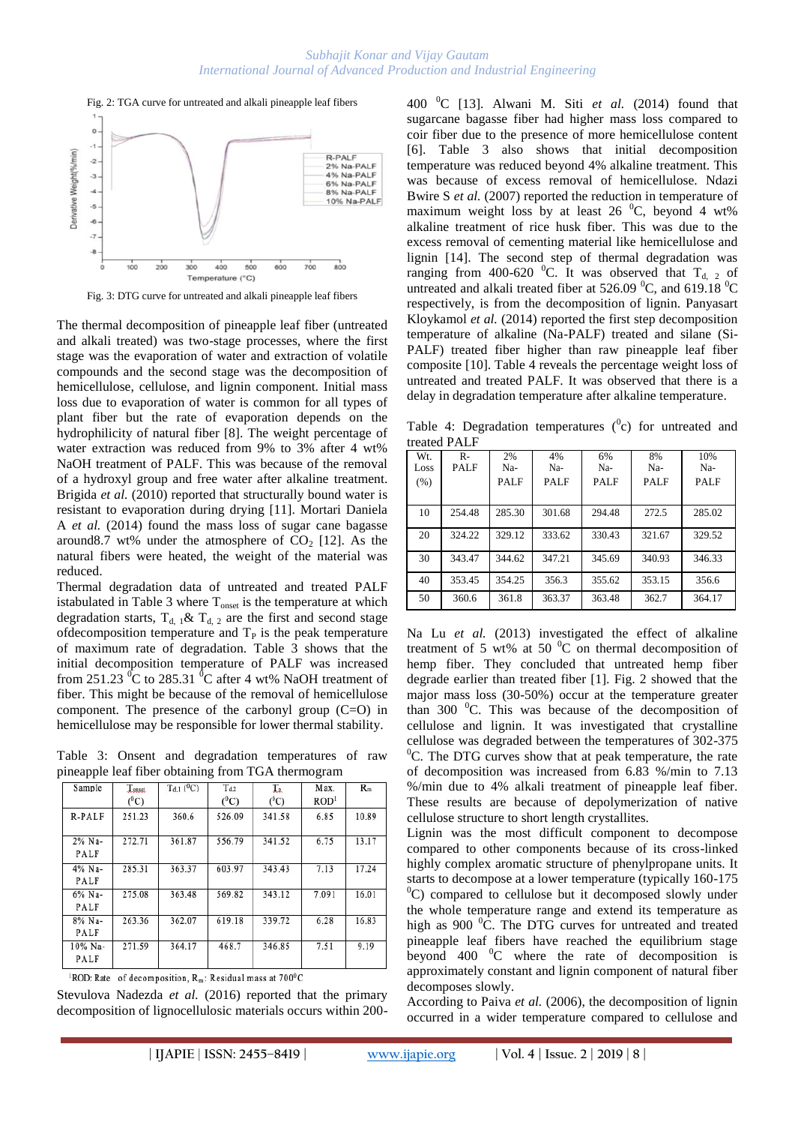

Fig. 3: DTG curve for untreated and alkali pineapple leaf fibers

The thermal decomposition of pineapple leaf fiber (untreated and alkali treated) was two-stage processes, where the first stage was the evaporation of water and extraction of volatile compounds and the second stage was the decomposition of hemicellulose, cellulose, and lignin component. Initial mass loss due to evaporation of water is common for all types of plant fiber but the rate of evaporation depends on the hydrophilicity of natural fiber [8]. The weight percentage of water extraction was reduced from 9% to 3% after 4 wt% NaOH treatment of PALF. This was because of the removal of a hydroxyl group and free water after alkaline treatment. Brigida *et al.* (2010) reported that structurally bound water is resistant to evaporation during drying [11]. Mortari Daniela A *et al.* (2014) found the mass loss of sugar cane bagasse around8.7 wt% under the atmosphere of  $CO<sub>2</sub>$  [12]. As the natural fibers were heated, the weight of the material was reduced.

Thermal degradation data of untreated and treated PALF istabulated in Table 3 where  $T_{onset}$  is the temperature at which degradation starts,  $T_{d, 1}$ &  $T_{d, 2}$  are the first and second stage ofdecomposition temperature and  $T<sub>P</sub>$  is the peak temperature of maximum rate of degradation. Table 3 shows that the initial decomposition temperature of PALF was increased from 251.23  $\mathrm{^0C}$  to 285.31  $\mathrm{^0C}$  after 4 wt% NaOH treatment of fiber. This might be because of the removal of hemicellulose component. The presence of the carbonyl group (C=O) in hemicellulose may be responsible for lower thermal stability.

Table 3: Onsent and degradation temperatures of raw pineapple leaf fiber obtaining from TGA thermogram

| Sample          | Lousst<br>$(^0C)$ | $T_{d,1}$ ( <sup>0</sup> C) | $T_{d,2}$<br>$(^{0}C)$ | $T_{R}$<br>$(^{0}C)$ | Max.<br>ROD <sup>1</sup> | $R_m$ |
|-----------------|-------------------|-----------------------------|------------------------|----------------------|--------------------------|-------|
| R-PALF          | 251.23            | 360.6                       | 526.09                 | 341.58               | 6.85                     | 10.89 |
| 2% Na-<br>PALF  | 272.71            | 361.87                      | 556.79                 | 341.52               | 6.75                     | 13.17 |
| 4% Na-<br>PALF  | 285.31            | 363.37                      | 603.97                 | 343.43               | 7.13                     | 17.24 |
| 6% Na-<br>PALF  | 275.08            | 363.48                      | 569.82                 | 343.12               | 7.091                    | 16.01 |
| 8% Na-<br>PALF  | 263.36            | 362.07                      | 619.18                 | 339.72               | 6.28                     | 16.83 |
| 10% Na-<br>PALF | 271.59            | 364.17                      | 468.7                  | 346.85               | 7.51                     | 9.19  |

<sup>1</sup>ROD: Rate of decomposition,  $R_m$ : Residual mass at 700<sup>0</sup>C

Stevulova Nadezda *et al.* (2016) reported that the primary decomposition of lignocellulosic materials occurs within 200400 <sup>0</sup>C [13]. Alwani M. Siti *et al.* (2014) found that sugarcane bagasse fiber had higher mass loss compared to coir fiber due to the presence of more hemicellulose content [6]. Table 3 also shows that initial decomposition temperature was reduced beyond 4% alkaline treatment. This was because of excess removal of hemicellulose. Ndazi Bwire S *et al.* (2007) reported the reduction in temperature of maximum weight loss by at least  $26\degree C$ , beyond 4 wt% alkaline treatment of rice husk fiber. This was due to the excess removal of cementing material like hemicellulose and lignin [14]. The second step of thermal degradation was ranging from 400-620 <sup>0</sup>C. It was observed that  $T_{d}$  of untreated and alkali treated fiber at 526.09  $^0$ C, and 619.18  $^0$ C respectively, is from the decomposition of lignin. Panyasart Kloykamol *et al.* (2014) reported the first step decomposition temperature of alkaline (Na-PALF) treated and silane (Si-PALF) treated fiber higher than raw pineapple leaf fiber composite [10]. Table 4 reveals the percentage weight loss of untreated and treated PALF. It was observed that there is a delay in degradation temperature after alkaline temperature.

Table 4: Degradation temperatures  $(^0c)$  for untreated and treated PALF

| Wt.<br>Loss<br>(% ) | $R-$<br><b>PALF</b> | 2%<br>Na-<br><b>PALF</b> | 4%<br>Na-<br><b>PALF</b> | 6%<br>Na-<br><b>PALF</b> | 8%<br>Na-<br><b>PALF</b> | 10%<br>Na-<br><b>PALF</b> |
|---------------------|---------------------|--------------------------|--------------------------|--------------------------|--------------------------|---------------------------|
| 10                  | 254.48              | 285.30                   | 301.68                   | 294.48                   | 272.5                    | 285.02                    |
| 20                  | 324.22              | 329.12                   | 333.62                   | 330.43                   | 321.67                   | 329.52                    |
| 30                  | 343.47              | 344.62                   | 347.21                   | 345.69                   | 340.93                   | 346.33                    |
| 40                  | 353.45              | 354.25                   | 356.3                    | 355.62                   | 353.15                   | 356.6                     |
| 50                  | 360.6               | 361.8                    | 363.37                   | 363.48                   | 362.7                    | 364.17                    |

Na Lu *et al.* (2013) investigated the effect of alkaline treatment of 5 wt% at 50  $\mathrm{^0C}$  on thermal decomposition of hemp fiber. They concluded that untreated hemp fiber degrade earlier than treated fiber [1]. Fig. 2 showed that the major mass loss (30-50%) occur at the temperature greater than 300  $\mathrm{^0C}$ . This was because of the decomposition of cellulose and lignin. It was investigated that crystalline cellulose was degraded between the temperatures of 302-375  ${}^{0}C$ . The DTG curves show that at peak temperature, the rate of decomposition was increased from 6.83 %/min to 7.13 %/min due to 4% alkali treatment of pineapple leaf fiber. These results are because of depolymerization of native cellulose structure to short length crystallites.

Lignin was the most difficult component to decompose compared to other components because of its cross-linked highly complex aromatic structure of phenylpropane units. It starts to decompose at a lower temperature (typically 160-175  $^{0}$ C) compared to cellulose but it decomposed slowly under the whole temperature range and extend its temperature as high as 900 °C. The DTG curves for untreated and treated pineapple leaf fibers have reached the equilibrium stage beyond 400  $\mathrm{^0C}$  where the rate of decomposition is approximately constant and lignin component of natural fiber decomposes slowly.

According to Paiva *et al.* (2006), the decomposition of lignin occurred in a wider temperature compared to cellulose and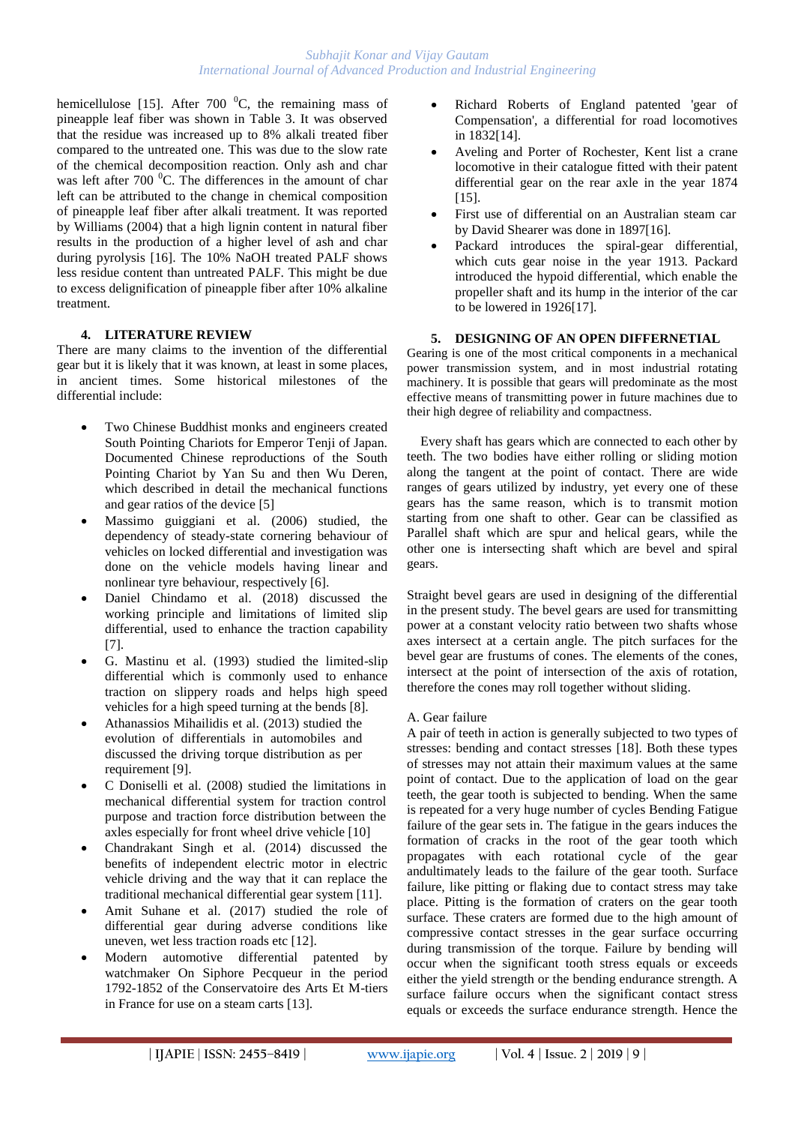hemicellulose [15]. After 700  $^{0}C$ , the remaining mass of pineapple leaf fiber was shown in Table 3. It was observed that the residue was increased up to 8% alkali treated fiber compared to the untreated one. This was due to the slow rate of the chemical decomposition reaction. Only ash and char was left after  $700<sup>0</sup>C$ . The differences in the amount of char left can be attributed to the change in chemical composition of pineapple leaf fiber after alkali treatment. It was reported by Williams (2004) that a high lignin content in natural fiber results in the production of a higher level of ash and char during pyrolysis [16]. The 10% NaOH treated PALF shows less residue content than untreated PALF. This might be due to excess delignification of pineapple fiber after 10% alkaline treatment.

## **4. LITERATURE REVIEW**

There are many claims to the invention of the differential gear but it is likely that it was known, at least in some places, in ancient times. Some historical milestones of the differential include:

- Two Chinese Buddhist monks and engineers created South Pointing Chariots for Emperor Tenji of Japan. Documented Chinese reproductions of the South Pointing Chariot by Yan Su and then Wu Deren, which described in detail the mechanical functions and gear ratios of the device [5]
- Massimo guiggiani et al. (2006) studied, the dependency of steady-state cornering behaviour of vehicles on locked differential and investigation was done on the vehicle models having linear and nonlinear tyre behaviour, respectively [6].
- Daniel Chindamo et al. (2018) discussed the working principle and limitations of limited slip differential, used to enhance the traction capability [7].
- G. Mastinu et al. (1993) studied the limited-slip differential which is commonly used to enhance traction on slippery roads and helps high speed vehicles for a high speed turning at the bends [8].
- Athanassios Mihailidis et al. (2013) studied the evolution of differentials in automobiles and discussed the driving torque distribution as per requirement [9].
- C Doniselli et al. (2008) studied the limitations in mechanical differential system for traction control purpose and traction force distribution between the axles especially for front wheel drive vehicle [10]
- Chandrakant Singh et al. (2014) discussed the benefits of independent electric motor in electric vehicle driving and the way that it can replace the traditional mechanical differential gear system [11].
- Amit Suhane et al. (2017) studied the role of differential gear during adverse conditions like uneven, wet less traction roads etc [12].
- Modern automotive differential patented by watchmaker On Siphore Pecqueur in the period 1792-1852 of the Conservatoire des Arts Et M-tiers in France for use on a steam carts [13].
- Richard Roberts of England patented 'gear of Compensation', a differential for road locomotives in 1832[14].
- Aveling and Porter of Rochester, Kent list a crane locomotive in their catalogue fitted with their patent differential gear on the rear axle in the year 1874 [15].
- First use of differential on an Australian steam car by David Shearer was done in 1897[16].
- Packard introduces the spiral-gear differential, which cuts gear noise in the year 1913. Packard introduced the hypoid differential, which enable the propeller shaft and its hump in the interior of the car to be lowered in 1926[17].

## **5. DESIGNING OF AN OPEN DIFFERNETIAL**

Gearing is one of the most critical components in a mechanical power transmission system, and in most industrial rotating machinery. It is possible that gears will predominate as the most effective means of transmitting power in future machines due to their high degree of reliability and compactness.

Every shaft has gears which are connected to each other by teeth. The two bodies have either rolling or sliding motion along the tangent at the point of contact. There are wide ranges of gears utilized by industry, yet every one of these gears has the same reason, which is to transmit motion starting from one shaft to other. Gear can be classified as Parallel shaft which are spur and helical gears, while the other one is intersecting shaft which are bevel and spiral gears.

Straight bevel gears are used in designing of the differential in the present study. The bevel gears are used for transmitting power at a constant velocity ratio between two shafts whose axes intersect at a certain angle. The pitch surfaces for the bevel gear are frustums of cones. The elements of the cones, intersect at the point of intersection of the axis of rotation, therefore the cones may roll together without sliding.

## A. Gear failure

A pair of teeth in action is generally subjected to two types of stresses: bending and contact stresses [18]. Both these types of stresses may not attain their maximum values at the same point of contact. Due to the application of load on the gear teeth, the gear tooth is subjected to bending. When the same is repeated for a very huge number of cycles Bending Fatigue failure of the gear sets in. The fatigue in the gears induces the formation of cracks in the root of the gear tooth which propagates with each rotational cycle of the gear andultimately leads to the failure of the gear tooth. Surface failure, like pitting or flaking due to contact stress may take place. Pitting is the formation of craters on the gear tooth surface. These craters are formed due to the high amount of compressive contact stresses in the gear surface occurring during transmission of the torque. Failure by bending will occur when the significant tooth stress equals or exceeds either the yield strength or the bending endurance strength. A surface failure occurs when the significant contact stress equals or exceeds the surface endurance strength. Hence the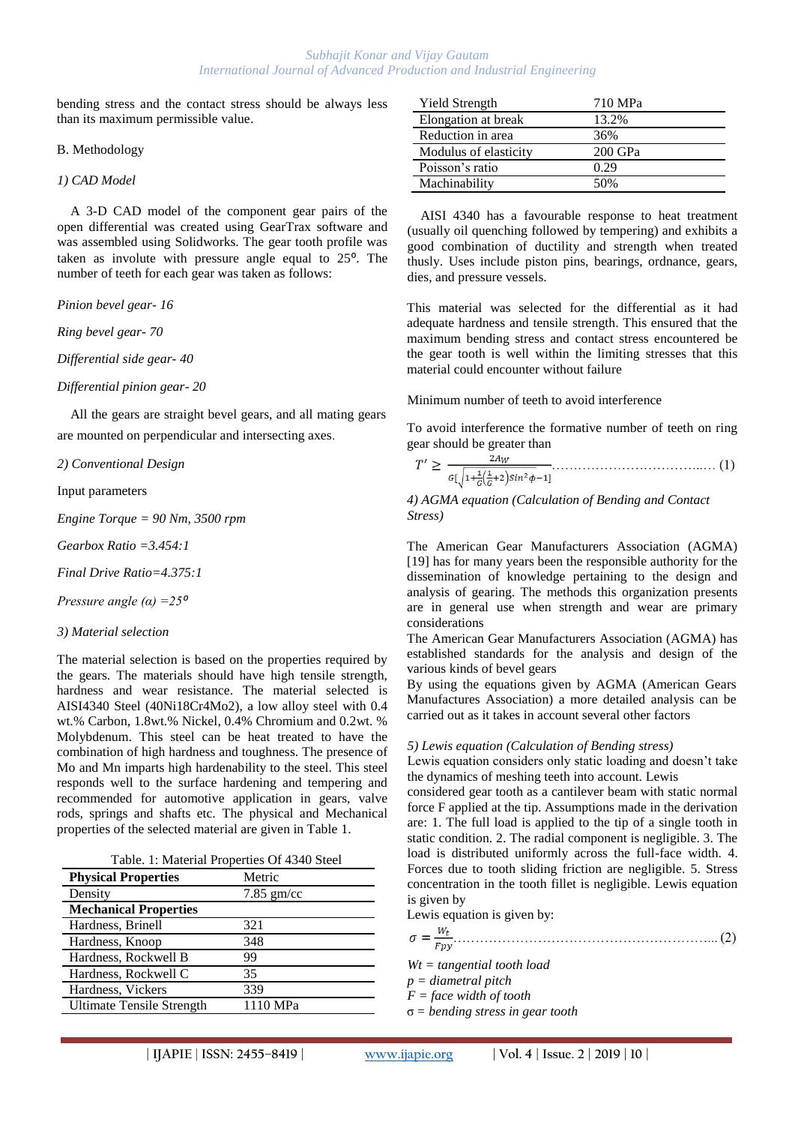bending stress and the contact stress should be always less than its maximum permissible value.

#### B. Methodology

*1) CAD Model*

A 3-D CAD model of the component gear pairs of the open differential was created using GearTrax software and was assembled using Solidworks. The gear tooth profile was taken as involute with pressure angle equal to  $25^\circ$ . The number of teeth for each gear was taken as follows:

*Pinion bevel gear- 16*

*Ring bevel gear- 70*

*Differential side gear- 40*

*Differential pinion gear- 20*

All the gears are straight bevel gears, and all mating gears are mounted on perpendicular and intersecting axes.

*2) Conventional Design*

Input parameters

*Engine Torque = 90 Nm, 3500 rpm*

*Gearbox Ratio =3.454:1*

*Final Drive Ratio=4.375:1*

*Pressure angle*  $(\alpha) = 25^{\circ}$ 

#### *3) Material selection*

The material selection is based on the properties required by the gears. The materials should have high tensile strength, hardness and wear resistance. The material selected is AISI4340 Steel (40Ni18Cr4Mo2), a low alloy steel with 0.4 wt.% Carbon, 1.8wt.% Nickel, 0.4% Chromium and 0.2wt. % Molybdenum. This steel can be heat treated to have the combination of high hardness and toughness. The presence of Mo and Mn imparts high hardenability to the steel. This steel responds well to the surface hardening and tempering and recommended for automotive application in gears, valve rods, springs and shafts etc. The physical and Mechanical properties of the selected material are given in Table 1.

| <b>Physical Properties</b>       | Metric       |  |
|----------------------------------|--------------|--|
| Density                          | $7.85$ gm/cc |  |
| <b>Mechanical Properties</b>     |              |  |
| Hardness, Brinell                | 321          |  |
| Hardness, Knoop                  | 348          |  |
| Hardness, Rockwell B             | 99           |  |
| Hardness, Rockwell C             | 35           |  |
| Hardness, Vickers                | 339          |  |
| <b>Ultimate Tensile Strength</b> | 1110 MPa     |  |

| Yield Strength        | 710 MPa |
|-----------------------|---------|
| Elongation at break   | 13.2%   |
| Reduction in area     | 36%     |
| Modulus of elasticity | 200 GPa |
| Poisson's ratio       | 0.29    |
| Machinability         | 50%     |
|                       |         |

AISI 4340 has a favourable response to heat treatment (usually oil quenching followed by tempering) and exhibits a good combination of ductility and strength when treated thusly. Uses include piston pins, bearings, ordnance, gears, dies, and pressure vessels.

This material was selected for the differential as it had adequate hardness and tensile strength. This ensured that the maximum bending stress and contact stress encountered be the gear tooth is well within the limiting stresses that this material could encounter without failure

Minimum number of teeth to avoid interference

To avoid interference the formative number of teeth on ring gear should be greater than

$$
T' \ge \frac{2A_W}{c\left(\sqrt{1 + \frac{1}{G}\left(\frac{1}{G} + 2\right)\sin^2\phi} - 1\right)} \dots \dots \dots \dots \dots \dots \dots \dots \dots \quad (1)
$$

*4) AGMA equation (Calculation of Bending and Contact Stress)*

The American Gear Manufacturers Association (AGMA) [19] has for many years been the responsible authority for the dissemination of knowledge pertaining to the design and analysis of gearing. The methods this organization presents are in general use when strength and wear are primary considerations

The American Gear Manufacturers Association (AGMA) has established standards for the analysis and design of the various kinds of bevel gears

By using the equations given by AGMA (American Gears Manufactures Association) a more detailed analysis can be carried out as it takes in account several other factors

## *5) Lewis equation (Calculation of Bending stress)*

Lewis equation considers only static loading and doesn't take the dynamics of meshing teeth into account. Lewis

considered gear tooth as a cantilever beam with static normal force F applied at the tip. Assumptions made in the derivation are: 1. The full load is applied to the tip of a single tooth in static condition. 2. The radial component is negligible. 3. The load is distributed uniformly across the full-face width. 4. Forces due to tooth sliding friction are negligible. 5. Stress concentration in the tooth fillet is negligible. Lewis equation is given by

| $\sim$ $\sim$ $\sim$ $\sim$ $\sim$ $\sim$ |
|-------------------------------------------|
| Lewis equation is given by:               |
| Fpv                                       |
| $Wt = tangential$ tooth load              |
| $p =$ diametral pitch                     |

*F = face width of tooth*

σ *= bending stress in gear tooth*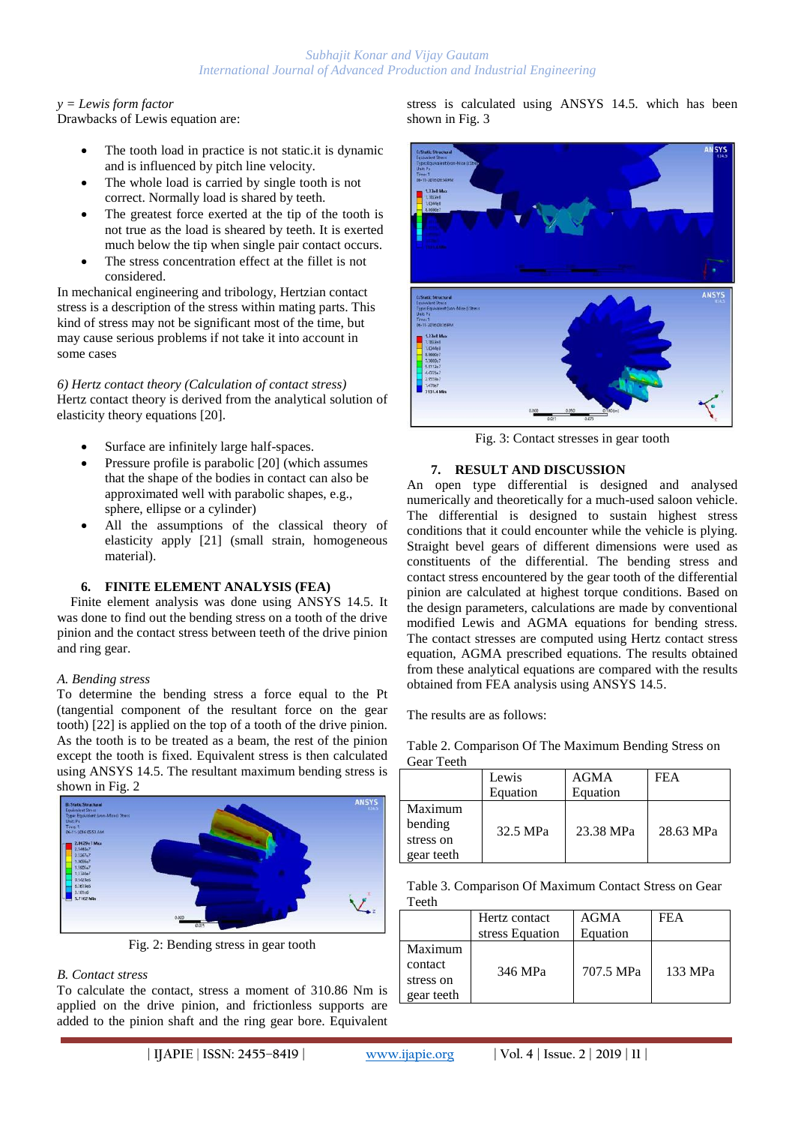## *y = Lewis form factor*

Drawbacks of Lewis equation are:

- The tooth load in practice is not static.it is dynamic and is influenced by pitch line velocity.
- The whole load is carried by single tooth is not correct. Normally load is shared by teeth.
- The greatest force exerted at the tip of the tooth is not true as the load is sheared by teeth. It is exerted much below the tip when single pair contact occurs.
- The stress concentration effect at the fillet is not considered.

In mechanical engineering and tribology, Hertzian contact stress is a description of the stress within mating parts. This kind of stress may not be significant most of the time, but may cause serious problems if not take it into account in some cases

*6) Hertz contact theory (Calculation of contact stress)* Hertz contact theory is derived from the analytical solution of elasticity theory equations [20].

- Surface are infinitely large half-spaces.
- Pressure profile is parabolic [20] (which assumes that the shape of the bodies in contact can also be approximated well with parabolic shapes, e.g., sphere, ellipse or a cylinder)
- All the assumptions of the classical theory of elasticity apply [21] (small strain, homogeneous material).

## **6. FINITE ELEMENT ANALYSIS (FEA)**

Finite element analysis was done using ANSYS 14.5. It was done to find out the bending stress on a tooth of the drive pinion and the contact stress between teeth of the drive pinion and ring gear.

## *A. Bending stress*

To determine the bending stress a force equal to the Pt (tangential component of the resultant force on the gear tooth) [22] is applied on the top of a tooth of the drive pinion. As the tooth is to be treated as a beam, the rest of the pinion except the tooth is fixed. Equivalent stress is then calculated using ANSYS 14.5. The resultant maximum bending stress is shown in Fig. 2



Fig. 2: Bending stress in gear tooth

## *B. Contact stress*

To calculate the contact, stress a moment of 310.86 Nm is applied on the drive pinion, and frictionless supports are added to the pinion shaft and the ring gear bore. Equivalent

stress is calculated using ANSYS 14.5. which has been shown in Fig. 3



Fig. 3: Contact stresses in gear tooth

## **7. RESULT AND DISCUSSION**

An open type differential is designed and analysed numerically and theoretically for a much-used saloon vehicle. The differential is designed to sustain highest stress conditions that it could encounter while the vehicle is plying. Straight bevel gears of different dimensions were used as constituents of the differential. The bending stress and contact stress encountered by the gear tooth of the differential pinion are calculated at highest torque conditions. Based on the design parameters, calculations are made by conventional modified Lewis and AGMA equations for bending stress. The contact stresses are computed using Hertz contact stress equation, AGMA prescribed equations. The results obtained from these analytical equations are compared with the results obtained from FEA analysis using ANSYS 14.5.

The results are as follows:

Table 2. Comparison Of The Maximum Bending Stress on Gear Teeth

|                                               | Lewis<br>Equation | AGMA<br>Equation | FEA       |
|-----------------------------------------------|-------------------|------------------|-----------|
| Maximum<br>bending<br>stress on<br>gear teeth | 32.5 MPa          | 23.38 MPa        | 28.63 MPa |

Table 3. Comparison Of Maximum Contact Stress on Gear Teeth

|                                               | Hertz contact   | AGMA      | FEA     |
|-----------------------------------------------|-----------------|-----------|---------|
|                                               | stress Equation | Equation  |         |
| Maximum<br>contact<br>stress on<br>gear teeth | 346 MPa         | 707.5 MPa | 133 MPa |